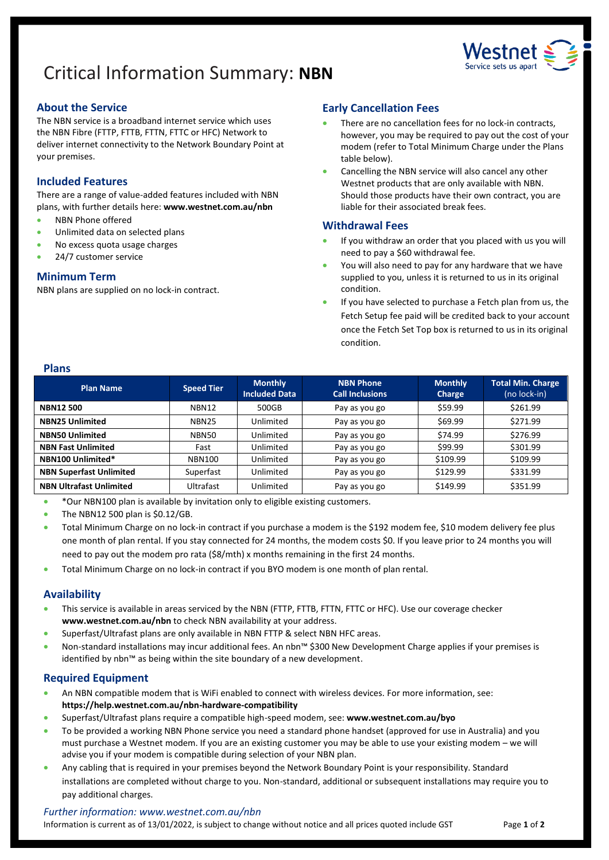# Critical Information Summary: **NBN**



## **About the Service**

The NBN service is a broadband internet service which uses the NBN Fibre (FTTP, FTTB, FTTN, FTTC or HFC) Network to deliver internet connectivity to the Network Boundary Point at your premises.

# **Included Features**

There are a range of value-added features included with NBN plans, with further details here: **[www.westnet.com.au/nbn](http://www.westnet.com.au/nbn)**

- NBN Phone offered
- Unlimited data on selected plans
- No excess quota usage charges
- 24/7 customer service

## **Minimum Term**

NBN plans are supplied on no lock-in contract.

## **Early Cancellation Fees**

- There are no cancellation fees for no lock-in contracts, however, you may be required to pay out the cost of your modem (refer to Total Minimum Charge under the Plans table below).
- Cancelling the NBN service will also cancel any other Westnet products that are only available with NBN. Should those products have their own contract, you are liable for their associated break fees.

## **Withdrawal Fees**

- If you withdraw an order that you placed with us you will need to pay a \$60 withdrawal fee.
- You will also need to pay for any hardware that we have supplied to you, unless it is returned to us in its original condition.
- If you have selected to purchase a Fetch plan from us, the Fetch Setup fee paid will be credited back to your account once the Fetch Set Top box is returned to us in its original condition.

## **Plans**

| <b>Plan Name</b>               | <b>Speed Tier</b> | <b>Monthly</b><br><b>Included Data</b> | <b>NBN Phone</b><br><b>Call Inclusions</b> | <b>Monthly</b><br>Charge | <b>Total Min. Charge</b><br>(no lock-in) |
|--------------------------------|-------------------|----------------------------------------|--------------------------------------------|--------------------------|------------------------------------------|
| <b>NBN12500</b>                | NBN12             | 500GB                                  | Pay as you go                              | \$59.99                  | \$261.99                                 |
| <b>NBN25 Unlimited</b>         | <b>NBN25</b>      | Unlimited                              | Pay as you go                              | \$69.99                  | \$271.99                                 |
| <b>NBN50 Unlimited</b>         | NBN50             | Unlimited                              | Pay as you go                              | \$74.99                  | \$276.99                                 |
| <b>NBN Fast Unlimited</b>      | Fast              | Unlimited                              | Pay as you go                              | \$99.99                  | \$301.99                                 |
| NBN100 Unlimited*              | <b>NBN100</b>     | Unlimited                              | Pay as you go                              | \$109.99                 | \$109.99                                 |
| <b>NBN Superfast Unlimited</b> | Superfast         | Unlimited                              | Pay as you go                              | \$129.99                 | \$331.99                                 |
| <b>NBN Ultrafast Unlimited</b> | Ultrafast         | Unlimited                              | Pay as you go                              | \$149.99                 | \$351.99                                 |

• \*Our NBN100 plan is available by invitation only to eligible existing customers.

• The NBN12 500 plan is \$0.12/GB.

- Total Minimum Charge on no lock-in contract if you purchase a modem is the \$192 modem fee, \$10 modem delivery fee plus one month of plan rental. If you stay connected for 24 months, the modem costs \$0. If you leave prior to 24 months you will need to pay out the modem pro rata (\$8/mth) x months remaining in the first 24 months.
- Total Minimum Charge on no lock-in contract if you BYO modem is one month of plan rental.

#### **Availability**

- This service is available in areas serviced by the NBN (FTTP, FTTB, FTTN, FTTC or HFC). Use ou[r coverage checker](https://www.westnet.com.au/internet-products/broadband/nbn/coverage/) **[www.westnet.com.au/nbn](http://www.westnet.com.au/nbn)** to check NBN availability at your address.
- Superfast/Ultrafast plans are only available in NBN FTTP & select NBN HFC areas.
- Non-standard installations may incur additional fees. An nbn™ \$300 New Development Charge applies if your premises is identified by nbn™ as being within the site boundary of a new development.

## **Required Equipment**

- An NBN compatible modem that is WiFi enabled to connect with wireless devices. For more information, see: **<https://help.westnet.com.au/nbn-hardware-compatibility>**
- Superfast/Ultrafast plans require a compatible high-speed modem, see: **[www.westnet.com.au/byo](http://www.westnet.com.au/byo)**
- To be provided a working NBN Phone service you need a standard phone handset (approved for use in Australia) and you must purchase a Westnet modem. If you are an existing customer you may be able to use your existing modem – we will advise you if your modem is compatible during selection of your NBN plan.
- Any cabling that is required in your premises beyond the Network Boundary Point is your responsibility. Standard installations are completed without charge to you. Non-standard, additional or subsequent installations may require you to pay additional charges.

#### *Further information: www.westnet.com.au/nbn*

Information is current as of 13/01/2022, is subject to change without notice and all prices quoted include GST Page 1 of 2